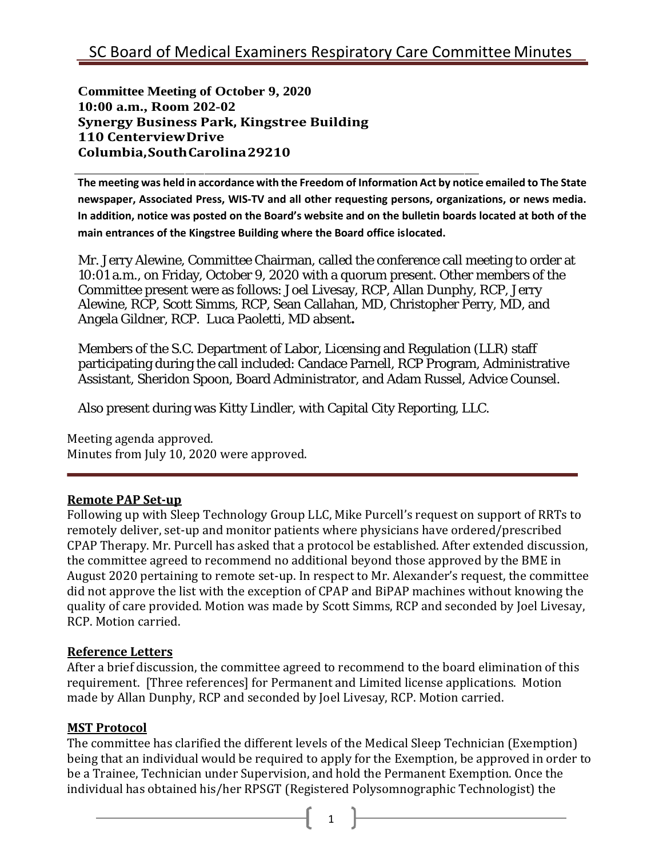**Committee Meeting of October 9, 2020 10:00 a.m., Room 202-02 Synergy Business Park, Kingstree Building 110 CenterviewDrive Columbia,SouthCarolina29210**

**The meeting was held in accordance with the Freedom of Information Act by notice emailed to The State newspaper, Associated Press, WIS-TV and all other requesting persons, organizations, or news media. In addition, notice was posted on the Board's website and on the bulletin boards located at both of the main entrances of the Kingstree Building where the Board office islocated.**

Mr. Jerry Alewine, Committee Chairman, called the conference call meeting to order at 10:01 a.m., on Friday, October 9, 2020 with a quorum present. Other members of the Committee present were as follows: Joel Livesay, RCP, Allan Dunphy, RCP, Jerry Alewine, RCP, Scott Simms, RCP, Sean Callahan, MD, Christopher Perry, MD, and Angela Gildner, RCP. Luca Paoletti, MD absent**.**

Members of the S.C. Department of Labor, Licensing and Regulation (LLR) staff participating during the call included: Candace Parnell, RCP Program, Administrative Assistant, Sheridon Spoon, Board Administrator, and Adam Russel, Advice Counsel.

Also present during was Kitty Lindler, with Capital City Reporting, LLC.

Meeting agenda approved. Minutes from July 10, 2020 were approved.

## **Remote PAP Set-up**

Following up with Sleep Technology Group LLC, Mike Purcell's request on support of RRTs to remotely deliver, set-up and monitor patients where physicians have ordered/prescribed CPAP Therapy. Mr. Purcell has asked that a protocol be established. After extended discussion, the committee agreed to recommend no additional beyond those approved by the BME in August 2020 pertaining to remote set-up. In respect to Mr. Alexander's request, the committee did not approve the list with the exception of CPAP and BiPAP machines without knowing the quality of care provided. Motion was made by Scott Simms, RCP and seconded by Joel Livesay, RCP. Motion carried.

## **Reference Letters**

After a brief discussion, the committee agreed to recommend to the board elimination of this requirement. [Three references] for Permanent and Limited license applications. Motion made by Allan Dunphy, RCP and seconded by Joel Livesay, RCP. Motion carried.

## **MST Protocol**

The committee has clarified the different levels of the Medical Sleep Technician (Exemption) being that an individual would be required to apply for the Exemption, be approved in order to be a Trainee, Technician under Supervision, and hold the Permanent Exemption. Once the individual has obtained his/her RPSGT (Registered Polysomnographic Technologist) the

 $\begin{array}{ccc} 1 & 1 \end{array}$